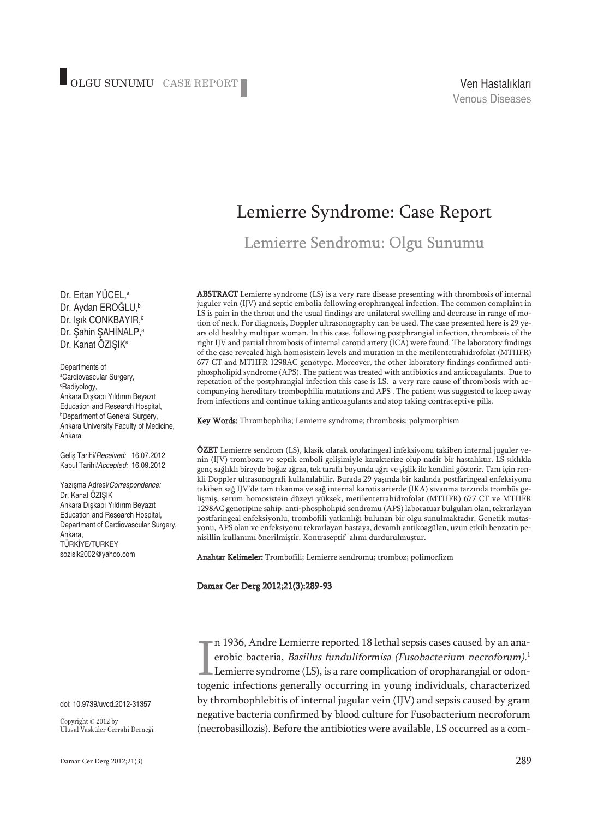## Lemierre Syndrome: Case Report

Lemierre Sendromu: Olgu Sunumu

ABSTRACT Lemierre syndrome (LS) is a very rare disease presenting with thrombosis of internal juguler vein (IJV) and septic embolia following orophrangeal infection. The common complaint in LS is pain in the throat and the usual findings are unilateral swelling and decrease in range of motion of neck. For diagnosis, Doppler ultrasonography can be used. The case presented here is 29 years old healthy multipar woman. In this case, following postphrangial infection, thrombosis of the right IJV and partial thrombosis of internal carotid artery (İCA) were found. The laboratory findings of the case revealed high homosistein levels and mutation in the metilentetrahidrofolat (MTHFR) 677 CT and MTHFR 1298AC genotype. Moreover, the other laboratory findings confirmed antiphospholipid syndrome (APS). The patient was treated with antibiotics and anticoagulants. Due to repetation of the postphrangial infection this case is LS, a very rare cause of thrombosis with accompanying hereditary trombophilia mutations and APS . The patient was suggested to keep away from infections and continue taking anticoagulants and stop taking contraceptive pills.

Key Words: Thrombophilia; Lemierre syndrome; thrombosis; polymorphism

ÖZET Lemierre sendrom (LS), klasik olarak orofaringeal infeksiyonu takiben internal juguler venin (IJV) trombozu ve septik emboli gelişimiyle karakterize olup nadir bir hastalıktır. LS sıklıkla genç sağlıklı bireyde boğaz ağrısı, tek taraflı boyunda ağrı ve şişlik ile kendini gösterir. Tanı için renkli Doppler ultrasonografi kullanılabilir. Burada 29 yaşında bir kadında postfaringeal enfeksiyonu takiben sağ IJV'de tam tıkanma ve sağ internal karotis arterde (IKA) sıvanma tarzında trombüs gelişmiş, serum homosistein düzeyi yüksek, metilentetrahidrofolat (MTHFR) 677 CT ve MTHFR 1298AC genotipine sahip, anti-phospholipid sendromu (APS) laboratuar bulguları olan, tekrarlayan postfaringeal enfeksiyonlu, trombofili yatkınlığı bulunan bir olgu sunulmaktadır. Genetik mutasyonu, APS olan ve enfeksiyonu tekrarlayan hastaya, devamlı antikoagülan, uzun etkili benzatin penisillin kullanımı önerilmiştir. Kontraseptif alımı durdurulmuştur.

Anahtar Kelimeler: Trombofili; Lemierre sendromu; tromboz; polimorfizm

#### Damar Cer Derg 2012;21(3):289-93

n 1936, Andre Lemierre reported 18 lethal sepsis cases caused by an anaerobic bacteria, Basillus funduliformisa (Fusobacterium necroforum). 1 Lemierre syndrome (LS), is a rare complication of oropharangial or odontogenic infections generally occurring in young individuals, characterized by thrombophlebitis of internal jugular vein (IJV) and sepsis caused by gram negative bacteria confirmed by blood culture for Fusobacterium necroforum (necrobasillozis). Before the antibiotics were available, LS occurred as a com-

Dr. Ertan YÜCEL, a Dr. Aydan EROĞLU, b Dr. Işık CONKBAYIR, c Dr. Şahin ŞAHİNALP, a Dr. Kanat ÖZIŞIK<sup>a</sup>

Departments of a Cardiovascular Surgery, c Radiyology, Ankara Dışkapı Yıldırım Beyazıt Education and Research Hospital, b Department of General Surgery, Ankara University Faculty of Medicine, Ankara

Geliş Tarihi/*Received:* 16.07.2012 Kabul Tarihi/*Accepted:* 16.09.2012

Yazışma Adresi/*Correspondence:* Dr. Kanat ÖZIŞIK Ankara Dışkapı Yıldırım Beyazıt Education and Research Hospital, Departmant of Cardiovascular Surgery, Ankara, TÜRKİYE/TURKEY sozisik2002@yahoo.com

doi: 10.9739/uvcd.2012-31357

Copyright © 2012 by Ulusal Vasküler Cerrahi Derneği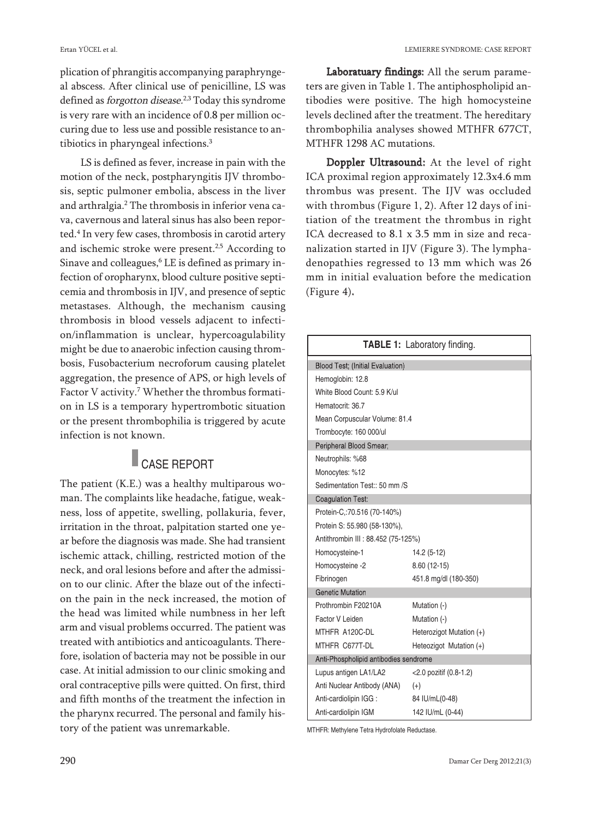plication of phrangitis accompanying paraphryngeal abscess. After clinical use of penicilline, LS was defined as *forgotton disease.<sup>2,3</sup>* Today this syndrome is very rare with an incidence of 0.8 per million occuring due to less use and possible resistance to antibiotics in pharyngeal infections. 3

LS is defined as fever, increase in pain with the motion of the neck, postpharyngitis IJV thrombosis, septic pulmoner embolia, abscess in the liver and arthralgia. <sup>2</sup> The thrombosis in inferior vena cava, cavernous and lateral sinus has also been reported. <sup>4</sup> In very few cases, thrombosis in carotid artery and ischemic stroke were present.<sup>2,5</sup> According to Sinave and colleagues, <sup>6</sup> LE is defined as primary infection of oropharynx, blood culture positive septicemia and thrombosis in IJV, and presence of septic metastases. Although, the mechanism causing thrombosis in blood vessels adjacent to infection/inflammation is unclear, hypercoagulability might be due to anaerobic infection causing thrombosis, Fusobacterium necroforum causing platelet aggregation, the presence of APS, or high levels of Factor V activity. <sup>7</sup> Whether the thrombus formation in LS is a temporary hypertrombotic situation or the present thrombophilia is triggered by acute infection is not known.

### CASE REPORT

The patient (K.E.) was a healthy multiparous woman. The complaints like headache, fatigue, weakness, loss of appetite, swelling, pollakuria, fever, irritation in the throat, palpitation started one year before the diagnosis was made. She had transient ischemic attack, chilling, restricted motion of the neck, and oral lesions before and after the admission to our clinic. After the blaze out of the infection the pain in the neck increased, the motion of the head was limited while numbness in her left arm and visual problems occurred. The patient was treated with antibiotics and anticoagulants. Therefore, isolation of bacteria may not be possible in our case. At initial admission to our clinic smoking and oral contraceptive pills were quitted. On first, third and fifth months of the treatment the infection in the pharynx recurred. The personal and family history of the patient was unremarkable.

Laboratuary findings: All the serum parameters are given in Table 1. The antiphospholipid antibodies were positive. The high homocysteine levels declined after the treatment. The hereditary thrombophilia analyses showed MTHFR 677CT, MTHFR 1298 AC mutations.

Doppler Ultrasound: At the level of right ICA proximal region approximately 12.3x4.6 mm thrombus was present. The IJV was occluded with thrombus (Figure 1, 2). After 12 days of initiation of the treatment the thrombus in right ICA decreased to 8.1 x 3.5 mm in size and recanalization started in IJV (Figure 3). The lymphadenopathies regressed to 13 mm which was 26 mm in initial evaluation before the medication (Figure 4).

| TABLE 1: Laboratory finding.            |                          |
|-----------------------------------------|--------------------------|
| <b>Blood Test; (Initial Evaluation)</b> |                          |
| Hemoglobin: 12.8                        |                          |
| White Blood Count: 5.9 K/ul             |                          |
| Hematocrit: 36.7                        |                          |
| Mean Corpuscular Volume: 81.4           |                          |
| Trombocyte: 160 000/ul                  |                          |
| Peripheral Blood Smear;                 |                          |
| Neutrophils: %68                        |                          |
| Monocytes: %12                          |                          |
| Sedimentation Test:: 50 mm /S           |                          |
| Coagulation Test:                       |                          |
| Protein-C,:70.516 (70-140%)             |                          |
| Protein S: 55.980 (58-130%),            |                          |
| Antithrombin III : 88.452 (75-125%)     |                          |
| Homocysteine-1                          | 14.2 (5-12)              |
| Homocysteine -2                         | 8.60 (12-15)             |
| Fibrinogen                              | 451.8 mg/dl (180-350)    |
| <b>Genetic Mutation</b>                 |                          |
| Prothrombin F20210A                     | Mutation (-)             |
| Factor V Leiden                         | Mutation (-)             |
| MTHFR A120C-DL                          | Heterozigot Mutation (+) |
| MTHFR C677T-DL                          | Heteozigot Mutation (+)  |
| Anti-Phospholipid antibodies sendrome   |                          |
| Lupus antigen LA1/LA2                   | <2.0 pozitif (0.8-1.2)   |
| Anti Nuclear Antibody (ANA)             | $(+)$                    |
| Anti-cardiolipin IGG :                  | 84 IU/mL(0-48)           |
| Anti-cardiolipin IGM                    | 142 IU/mL (0-44)         |

MTHFR: Methylene Tetra Hydrofolate Reductase.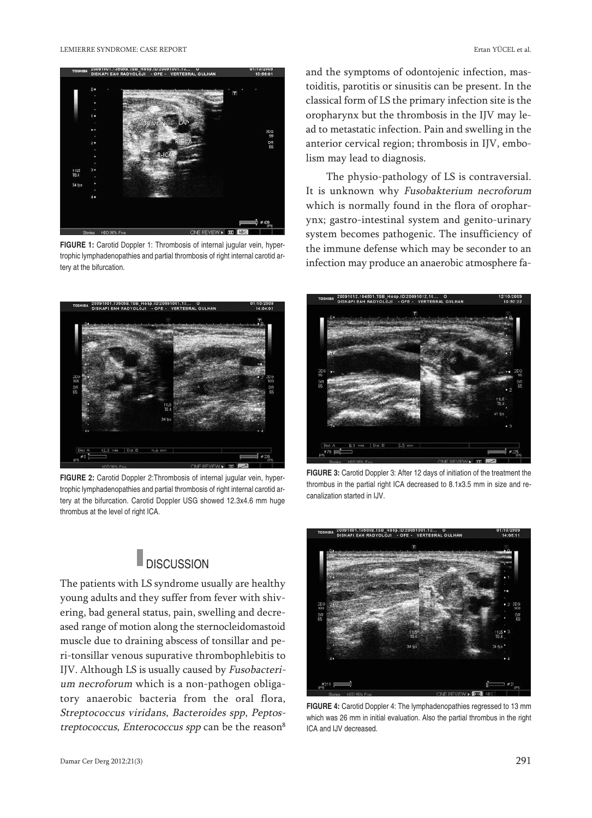

**FIGURE 1:** Carotid Doppler 1: Thrombosis of internal jugular vein, hypertrophic lymphadenopathies and partial thrombosis of right internal carotid artery at the bifurcation.



**FIGURE 2:** Carotid Doppler 2:Thrombosis of internal jugular vein, hypertrophic lymphadenopathies and partial thrombosis of right internal carotid artery at the bifurcation. Carotid Doppler USG showed 12.3x4.6 mm huge thrombus at the level of right ICA.

# **DISCUSSION**

The patients with LS syndrome usually are healthy young adults and they suffer from fever with shivering, bad general status, pain, swelling and decreased range of motion along the sternocleidomastoid muscle due to draining abscess of tonsillar and peri-tonsillar venous supurative thrombophlebitis to IJV. Although LS is usually caused by Fusobacterium necroforum which is a non-pathogen obligatory anaerobic bacteria from the oral flora, Streptococcus viridans, Bacteroides spp, Peptostreptococcus, Enterococcus spp can be the reason<sup>8</sup>

and the symptoms of odontojenic infection, mastoiditis, parotitis or sinusitis can be present. In the classical form of LS the primary infection site is the oropharynx but the thrombosis in the IJV may lead to metastatic infection. Pain and swelling in the anterior cervical region; thrombosis in IJV, embolism may lead to diagnosis.

The physio-pathology of LS is contraversial. It is unknown why Fusobakterium necroforum which is normally found in the flora of oropharynx; gastro-intestinal system and genito-urinary system becomes pathogenic. The insufficiency of the immune defense which may be seconder to an infection may produce an anaerobic atmosphere fa-



**FIGURE 3:** Carotid Doppler 3: After 12 days of initiation of the treatment the thrombus in the partial right ICA decreased to 8.1x3.5 mm in size and recanalization started in IJV.



**FIGURE 4:** Carotid Doppler 4: The lymphadenopathies regressed to 13 mm which was 26 mm in initial evaluation. Also the partial thrombus in the right ICA and IJV decreased.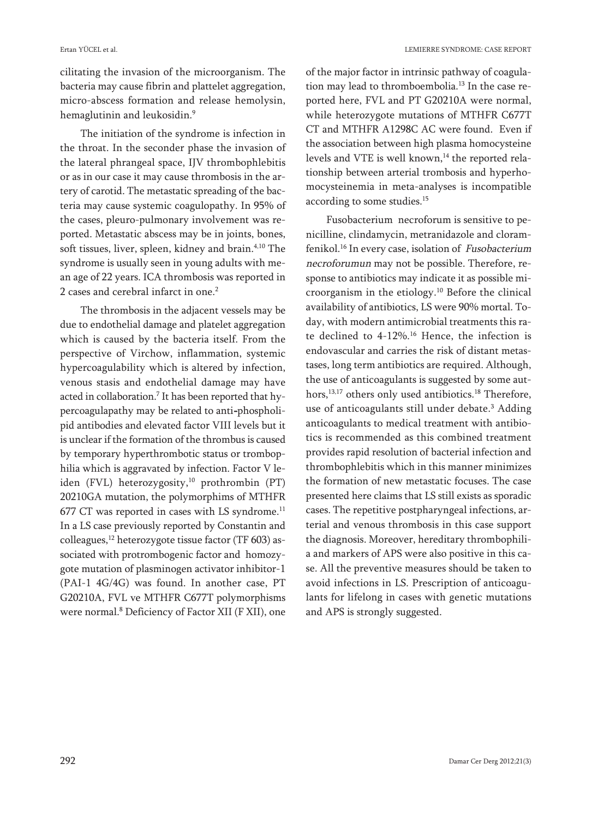cilitating the invasion of the microorganism. The bacteria may cause fibrin and plattelet aggregation, micro-abscess formation and release hemolysin, hemaglutinin and leukosidin. 9

The initiation of the syndrome is infection in the throat. In the seconder phase the invasion of the lateral phrangeal space, IJV thrombophlebitis or as in our case it may cause thrombosis in the artery of carotid. The metastatic spreading of the bacteria may cause systemic coagulopathy. In 95% of the cases, pleuro-pulmonary involvement was reported. Metastatic abscess may be in joints, bones, soft tissues, liver, spleen, kidney and brain. 4,10 The syndrome is usually seen in young adults with mean age of 22 years. ICA thrombosis was reported in 2 cases and cerebral infarct in one. 2

The thrombosis in the adjacent vessels may be due to endothelial damage and platelet aggregation which is caused by the bacteria itself. From the perspective of Virchow, inflammation, systemic hypercoagulability which is altered by infection, venous stasis and endothelial damage may have acted in collaboration. <sup>7</sup> It has been reported that hypercoagulapathy may be related to anti-phospholipid antibodies and elevated factor VIII levels but it is unclear if the formation of the thrombus is caused by temporary hyperthrombotic status or trombophilia which is aggravated by infection. Factor V leiden (FVL) heterozygosity, <sup>10</sup> prothrombin (PT) 20210GA mutation, the polymorphims of MTHFR 677 CT was reported in cases with LS syndrome.<sup>11</sup> In a LS case previously reported by Constantin and colleagues, <sup>12</sup> heterozygote tissue factor (TF 603) associated with protrombogenic factor and homozygote mutation of plasminogen activator inhibitor-1 (PAI-1 4G/4G) was found. In another case, PT G20210A, FVL ve MTHFR C677T polymorphisms were normal. <sup>8</sup> Deficiency of Factor XII (F XII), one

of the major factor in intrinsic pathway of coagulation may lead to thromboembolia. <sup>13</sup> In the case reported here, FVL and PT G20210A were normal, while heterozygote mutations of MTHFR C677T CT and MTHFR A1298C AC were found. Even if the association between high plasma homocysteine levels and VTE is well known, <sup>14</sup> the reported relationship between arterial trombosis and hyperhomocysteinemia in meta-analyses is incompatible according to some studies. 15

Fusobacterium necroforum is sensitive to penicilline, clindamycin, metranidazole and cloramfenikol. <sup>16</sup> In every case, isolation of Fusobacterium necroforumun may not be possible. Therefore, response to antibiotics may indicate it as possible microorganism in the etiology. <sup>10</sup> Before the clinical availability of antibiotics, LS were 90% mortal. Today, with modern antimicrobial treatments this rate declined to 4-12%. <sup>16</sup> Hence, the infection is endovascular and carries the risk of distant metastases, long term antibiotics are required. Although, the use of anticoagulants is suggested by some authors, 13,17 others only used antibiotics. <sup>18</sup> Therefore, use of anticoagulants still under debate. <sup>3</sup> Adding anticoagulants to medical treatment with antibiotics is recommended as this combined treatment provides rapid resolution of bacterial infection and thrombophlebitis which in this manner minimizes the formation of new metastatic focuses. The case presented here claims that LS still exists as sporadic cases. The repetitive postpharyngeal infections, arterial and venous thrombosis in this case support the diagnosis. Moreover, hereditary thrombophilia and markers of APS were also positive in this case. All the preventive measures should be taken to avoid infections in LS. Prescription of anticoagulants for lifelong in cases with genetic mutations and APS is strongly suggested.